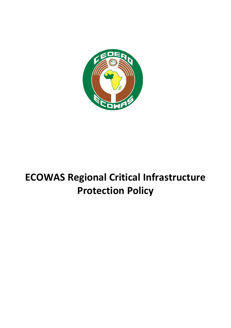

# **ECOWAS Regional Critical Infrastructure Protection Policy**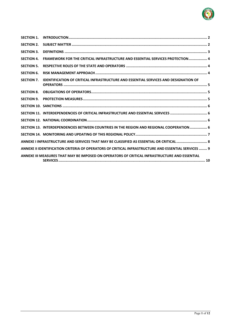

| <b>SECTION 1.</b> |                                                                                                     |
|-------------------|-----------------------------------------------------------------------------------------------------|
| <b>SECTION 2.</b> |                                                                                                     |
| <b>SECTION 3.</b> |                                                                                                     |
| <b>SECTION 4.</b> | FRAMEWORK FOR THE CRITICAL INFRASTRUCTURE AND ESSENTIAL SERVICES PROTECTION 4                       |
| <b>SECTION 5.</b> |                                                                                                     |
| <b>SECTION 6.</b> |                                                                                                     |
| <b>SECTION 7.</b> | <b>IDENTIFICATION OF CRITICAL INFRASTRUCTURE AND ESSENTIAL SERVICES AND DESIGNATION OF</b>          |
| <b>SECTION 8.</b> |                                                                                                     |
| <b>SECTION 9.</b> |                                                                                                     |
|                   |                                                                                                     |
|                   | SECTION 11. INTERDEPENDENCIES OF CRITICAL INFRASTRUCTURE AND ESSENTIAL SERVICES  6                  |
|                   |                                                                                                     |
|                   | SECTION 13. INTERDEPENDENCIES BETWEEN COUNTRIES IN THE REGION AND REGIONAL COOPERATION 6            |
|                   |                                                                                                     |
|                   | ANNEXE I INFRASTRUCTURE AND SERVICES THAT MAY BE CLASSIFIED AS ESSENTIAL OR CRITICAL  8             |
|                   | ANNEXE II IDENTIFICATION CRITERIA OF OPERATORS OF CRITICAL INFRASTRUCTURE AND ESSENTIAL SERVICES  9 |
|                   | ANNEXE III MEASURES THAT MAY BE IMPOSED ON OPERATORS OF CRITICAL INFRASTRUCTURE AND ESSENTIAL       |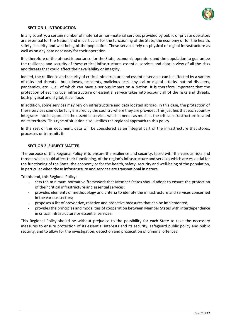

#### **SECTION 1. INTRODUCTION**

<span id="page-2-0"></span>In any country, a certain number of material or non-material services provided by public or private operators are essential for the Nation, and in particular for the functioning of the State, the economy or for the health, safety, security and well-being of the population. These services rely on physical or digital infrastructure as well as on any data necessary for their operation.

It is therefore of the utmost importance for the State, economic operators and the population to guarantee the resilience and security of these critical infrastructure, essential services and data in view of all the risks and threats that could affect their availability or integrity.

Indeed, the resilience and security of critical infrastructure and essential services can be affected by a variety of risks and threats - breakdowns, accidents, malicious acts, physical or digital attacks, natural disasters, pandemics, etc. -, all of which can have a serious impact on a Nation. It is therefore important that the protection of each critical infrastructure or essential service takes into account all of the risks and threats, both physical and digital, it can face.

In addition, some services may rely on infrastructure and data located abroad. In this case, the protection of these services cannot be fully ensured by the country where they are provided. This justifies that each country integrates into its approach the essential services which it needs as much as the critical infrastructure located on its territory. This type of situation also justifies the regional approach to this policy.

<span id="page-2-1"></span>In the rest of this document, data will be considered as an integral part of the infrastructure that stores, processes or transmits it.

#### **SECTION 2. SUBJECT MATTER**

The purpose of this Regional Policy is to ensure the resilience and security, faced with the various risks and threats which could affect their functioning, of the region's infrastructure and services which are essential for the functioning of the State, the economy or for the health, safety, security and well-being of the population, in particular when these infrastructure and services are transnational in nature.

To this end, this Regional Policy:

- sets the minimum normative framework that Member States should adopt to ensure the protection of their critical infrastructure and essential services;
- provides elements of methodology and criteria to identify the infrastructure and services concerned in the various sectors;
- proposes a list of preventive, reactive and proactive measures that can be implemented;
- provides the principles and modalities of cooperation between Member States with interdependence in critical infrastructure or essential services.

This Regional Policy should be without prejudice to the possibility for each State to take the necessary measures to ensure protection of its essential interests and its security, safeguard public policy and public security, and to allow for the investigation, detection and prosecution of criminal offences.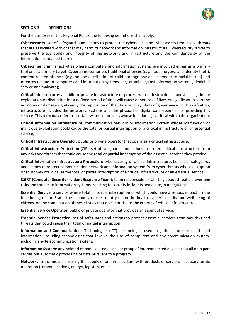

## <span id="page-3-0"></span>**SECTION 3. DEFINITIONS**

For the purposes of this Regional Policy, the following definitions shall apply:

**Cybersecurity**: set of safeguards and actions to protect the cyberspace and cyber assets from those threats that are associated with or that may harm its network and information infrastructure. Cybersecurity strives to preserve the availability and integrity of the networks and infrastructure and the confidentiality of the information contained therein;

**Cybercrime**: criminal activities where computers and information systems are involved either as a primary tool or as a primary target. Cybercrime comprises traditional offences (e.g. fraud, forgery, and identity theft), content-related offences (e.g. on-line distribution of child pornography or incitement to racial hatred) and offences unique to computers and information systems (e.g. attacks against information systems, denial of service and malware);

**Critical Infrastructure**: a public or private infrastructure or process whose destruction, standstill, illegitimate exploitation or disruption for a defined period of time will cause either loss of lives or significant loss to the economy or damage significantly the reputation of the State or its symbols of governance. In this definition, infrastructure includes the networks, systems and the physical or digital data essential for providing this service. This term may refer to a certain system or process whose functioning is critical within the organization;

**Critical Information Infrastructure**: communication network or information system whose malfunction or malicious exploitation could cause the total or partial interruption of a critical infrastructure or an essential service;

**Critical Infrastructure Operator**: public or private operator that operates a critical infrastructure;

**Critical Infrastructure Protection** (CIP): set of safeguards and actions to protect critical infrastructure from any risks and threats that could cause the total or partial interruption of the essential services they provide;

**Critical Information Infrastructure Protection**: cybersecurity of critical infrastructure, i.e. set of safeguards and actions to protect communication network and information system from cyber threats whose disruption or shutdown could cause the total or partial interruption of a critical infrastructure or an essential service;

**CSIRT (Computer Security Incident Response Team)**: team responsible for alerting about threats, preventing risks and threats to information systems, reacting to security incidents and aiding in mitigation;

**Essential Service**: a service where total or partial interruption of which could have a serious impact on the functioning of the State, the economy of the country or on the health, safety, security and well-being of citizens, or any combination of these issues that does not rise to the criteria of critical Infrastructure;

**Essential Service Operator**: public or private operator that provides an essential service.

**Essential Service Protection**: set of safeguards and actions to protect essential services from any risks and threats that could cause their total or partial interruption;

**Information and Communications Technologies** (ICT): technologies used to gather, store, use and send information, including technologies that involve the use of computers and any communication system, including any telecommunication system;

**Information System**: any isolated or non-isolated device or group of interconnected devices that all or in part carries out automatic processing of data pursuant to a program.

**Networks**: set of means ensuring the supply of an infrastructure with products or services necessary for its operation (communications, energy, logistics, etc.);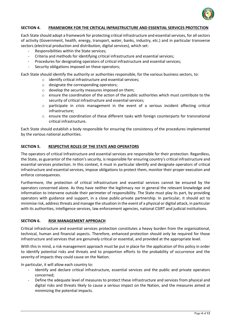

### <span id="page-4-0"></span>**SECTION 4. FRAMEWORK FOR THE CRITICAL INFRASTRUCTURE AND ESSENTIAL SERVICES PROTECTION**

Each State should adopt a framework for protecting critical infrastructure and essential services, for all sectors of activity (Government, health, energy, transport, water, banks, industry, etc.) and in particular transverse sectors (electrical production and distribution, digital services), which set:

- Responsibilities within the State services;
- Criteria and methods for identifying critical infrastructure and essential services;
- Procedures for designating operators of critical infrastructure and essential services;
- Security obligations imposed on these operators;

Each State should identify the authority or authorities responsible, for the various business sectors, to:

- o identify critical infrastructure and essential services;
	- o designate the corresponding operators;
	- o develop the security measures imposed on them;
	- o ensure the coordination of the action of the public authorities which must contribute to the security of critical infrastructure and essential services;
	- o participate in crisis management in the event of a serious incident affecting critical infrastructure;
	- o ensure the coordination of these different tasks with foreign counterparts for transnational critical infrastructure.

Each State should establish a body responsible for ensuring the consistency of the procedures implemented by the various national authorities.

#### <span id="page-4-1"></span>**SECTION 5. RESPECTIVE ROLES OF THE STATE AND OPERATORS**

The operators of critical Infrastructure and essential services are responsible for their protection. Regardless, the State, as guarantor of the nation's security, is responsible for ensuring country's critical infrastructure and essential services protection. In this context, it must in particular identify and designate operators of critical infrastructure and essential services, impose obligations to protect them, monitor their proper execution and enforce consequences.

Furthermore, the protection of critical infrastructure and essential services cannot be ensured by the operators concerned alone. As they have neither the legitimacy nor in general the relevant knowledge and information to intervene outside their perimeter of responsibility. The State must play its part, by providing operators with guidance and support, in a close public-private partnership. In particular, it should act to minimise risk, address threats and manage the situation in the event of a physical or digital attack, in particular with its authorities, intelligence services, law enforcement agencies, national CSIRT and judicial institutions.

#### <span id="page-4-2"></span>**SECTION 6. RISK MANAGEMENT APPROACH**

Critical infrastructure and essential services protection constitutes a heavy burden from the organizational, technical, human and financial aspects. Therefore, enhanced protection should only be required for those infrastructure and services that are genuinely critical or essential, and provided at the appropriate level.

With this in mind, a risk management approach must be put in place for the application of this policy in order to identify potential risks and threats and to proportion efforts to the probability of occurrence and the severity of impacts they could cause on the Nation.

In particular, it will allow each country to:

- Identify and declare critical infrastructure, essential services and the public and private operators concerned;
- Define the adequate level of measures to protect these infrastructure and services from physical and digital risks and threats likely to cause a serious impact on the Nation, and the measures aimed at minimizing the potential impacts.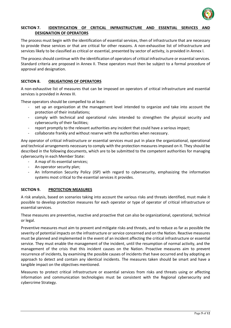

#### <span id="page-5-0"></span>**SECTION 7. IDENTIFICATION OF CRITICAL INFRASTRUCTURE AND ESSENTIAL SERVICES AND DESIGNATION OF OPERATORS**

The process must begin with the identification of essential services, then of infrastructure that are necessary to provide these services or that are critical for other reasons. A non-exhaustive list of infrastructure and services likely to be classified as critical or essential, presented by sector of activity, is provided in Annex I.

The process should continue with the identification of operators of critical infrastructure or essential services. Standard criteria are proposed in Annex II. These operators must then be subject to a formal procedure of approval and designation.

## <span id="page-5-1"></span>**SECTION 8. OBLIGATIONS OF OPERATORS**

A non-exhaustive list of measures that can be imposed on operators of critical infrastructure and essential services is provided in Annex III.

These operators should be compelled to at least:

- set up an organization at the management level intended to organize and take into account the protection of their installations;
- comply with technical and operational rules intended to strengthen the physical security and cybersecurity of their facilities;
- report promptly to the relevant authorities any incident that could have a serious impact;
- collaborate frankly and without reserve with the authorities when necessary.

Any operator of critical infrastructure or essential services must put in place the organizational, operational and technical arrangements necessary to comply with the protection measures imposed on it. They should be described in the following documents, which are to be submitted to the competent authorities for managing cybersecurity in each Member State:

- A map of its essential services;
- An operator security plan;
- An Information Security Policy (ISP) with regard to cybersecurity, emphasizing the information systems most critical to the essential services it provides.

#### <span id="page-5-2"></span>**SECTION 9. PROTECTION MEASURES**

A risk analysis, based on scenarios taking into account the various risks and threats identified, must make it possible to develop protection measures for each operator or type of operator of critical infrastructure or essential services.

These measures are preventive, reactive and proactive that can also be organizational, operational, technical or legal.

Preventive measures must aim to prevent and mitigate risks and threats, and to reduce as far as possible the severity of potential impacts on the infrastructure or service concerned and on the Nation. Reactive measures must be planned and implemented in the event of an incident affecting the critical infrastructure or essential service. They must enable the management of the incident, until the resumption of normal activity, and the management of the crisis that this incident causes on the Nation. Proactive measures aim to prevent recurrence of incidents, by examining the possible causes of incidents that have occurred and by adopting an approach to detect and contain any identical incidents. The measures taken should be smart and have a tangible impact on the objectives mentioned.

Measures to protect critical infrastructure or essential services from risks and threats using or affecting information and communication technologies must be consistent with the Regional cybersecurity and cybercrime Strategy.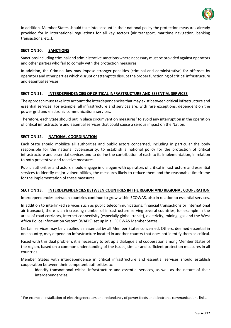

In addition, Member States should take into account in their national policy the protection measures already provided for in international regulations for all key sectors (air transport, maritime navigation, banking transactions, etc.).

### <span id="page-6-0"></span>**SECTION 10. SANCTIONS**

Sanctions including criminal and administrative sanctions where necessary must be provided against operators and other parties who fail to comply with the protection measures.

In addition, the Criminal law may impose stronger penalties (criminal and administrative) for offenses by operators and other parties which disrupt or attempt to disrupt the proper functioning of critical infrastructure and essential services.

#### <span id="page-6-1"></span>**SECTION 11. INTERDEPENDENCIES OF CRITICAL INFRASTRUCTURE AND ESSENTIAL SERVICES**

The approach must take into account the interdependencies that may exist between critical infrastructure and essential services. For example, all infrastructure and services are, with rare exceptions, dependent on the power grid and electronic communications services.

Therefore, each State should put in place circumvention measures<sup>1</sup> to avoid any interruption in the operation of critical infrastructure and essential services that could cause a serious impact on the Nation.

#### <span id="page-6-2"></span>**SECTION 12. NATIONAL COORDINATION**

 $\overline{\phantom{a}}$ 

Each State should mobilize all authorities and public actors concerned, including in particular the body responsible for the national cybersecurity, to establish a national policy for the protection of critical infrastructure and essential services and to define the contribution of each to its implementation, in relation to both preventive and reactive measures.

Public authorities and actors should engage in dialogue with operators of critical infrastructure and essential services to identify major vulnerabilities, the measures likely to reduce them and the reasonable timeframe for the implementation of these measures.

#### <span id="page-6-3"></span>**SECTION 13. INTERDEPENDENCIES BETWEEN COUNTRIES IN THE REGION AND REGIONAL COOPERATION**

Interdependencies between countries continue to grow within ECOWAS, also in relation to essential services.

In addition to interlinked services such as public telecommunications, financial transactions or international air transport, there is an increasing number of infrastructure serving several countries, for example in the areas of road corridors, Internet connectivity (especially global transit), electricity, mining, gas and the West Africa Police Information System (WAPIS) set up in all ECOWAS Member States.

Certain services may be classified as essential by all Member States concerned. Others, deemed essential in one country, may depend on infrastructure located in another country that does not identify them as critical.

Faced with this dual problem, it is necessary to set up a dialogue and cooperation among Member States of the region, based on a common understanding of the issues, similar and sufficient protection measures in all countries.

Member States with interdependence in critical infrastructure and essential services should establish cooperation between their competent authorities to:

Identify transnational critical infrastructure and essential services, as well as the nature of their interdependencies;

 $1$  For example: installation of electric generators or a redundancy of power feeds and electronic communications links.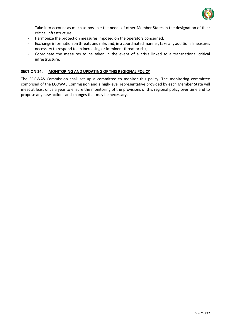

- Take into account as much as possible the needs of other Member States in the designation of their critical infrastructure;
- Harmonize the protection measures imposed on the operators concerned;
- Exchange information on threats and risks and, in a coordinated manner, take any additional measures necessary to respond to an increasing or imminent threat or risk;
- Coordinate the measures to be taken in the event of a crisis linked to a transnational critical infrastructure.

#### <span id="page-7-0"></span>**SECTION 14. MONITORING AND UPDATING OF THIS REGIONAL POLICY**

The ECOWAS Commission shall set up a committee to monitor this policy. The monitoring committee comprised of the ECOWAS Commission and a high-level representative provided by each Member State will meet at least once a year to ensure the monitoring of the provisions of this regional policy over time and to propose any new actions and changes that may be necessary.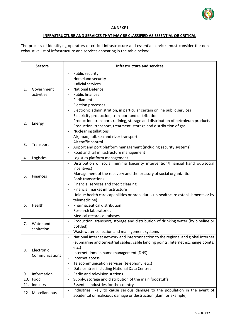

#### **ANNEXE I**

#### **INFRASTRUCTURE AND SERVICES THAT MAY BE CLASSIFIED AS ESSENTIAL OR CRITICAL**

<span id="page-8-0"></span>The process of identifying operators of critical infrastructure and essential services must consider the nonexhaustive list of infrastructure and services appearing in the table below:

| <b>Sectors</b> |                              | Infrastructure and services                                                                                                                                                                                                                                                                                                                                                                                                      |
|----------------|------------------------------|----------------------------------------------------------------------------------------------------------------------------------------------------------------------------------------------------------------------------------------------------------------------------------------------------------------------------------------------------------------------------------------------------------------------------------|
| 1.             | Government<br>activities     | Public security<br>$\overline{\phantom{a}}$<br>Homeland security<br>$\overline{\phantom{0}}$<br>Judicial services<br>$\overline{\phantom{a}}$<br><b>National Defence</b><br><b>Public finances</b><br>Parliament<br>Election processes<br>$\overline{\phantom{a}}$<br>Electronic administration, in particular certain online public services<br>$\overline{\phantom{a}}$                                                        |
| 2.             | Energy                       | Electricity production, transport and distribution<br>$\overline{\phantom{a}}$<br>Production, transport, refining, storage and distribution of petroleum products<br>$\qquad \qquad -$<br>Production, transport, treatment, storage and distribution of gas<br>$\overline{\phantom{a}}$<br><b>Nuclear installations</b><br>$\overline{\phantom{a}}$                                                                              |
| 3.             | Transport                    | Air, road, rail, sea and river transport<br>$\overline{\phantom{a}}$<br>Air traffic control<br>Airport and port platform management (including security systems)<br>Road and rail infrastructure management<br>$\overline{\phantom{a}}$                                                                                                                                                                                          |
| 4.             | Logistics                    | Logistics platform management<br>$\overline{\phantom{a}}$                                                                                                                                                                                                                                                                                                                                                                        |
| 5.             | <b>Finances</b>              | Distribution of social minima (security intervention/financial hand out/social<br>$\overline{\phantom{a}}$<br>incentives)<br>Management of the recovery and the treasury of social organizations<br><b>Bank transactions</b><br>$\overline{\phantom{a}}$<br>Financial services and credit clearing<br>$\overline{\phantom{a}}$<br>Financial market infrastructure<br>$\overline{\phantom{a}}$                                    |
| 6.             | Health                       | Unique health care capabilities or procedures (in healthcare establishments or by<br>$\overline{\phantom{a}}$<br>telemedicine)<br>Pharmaceutical distribution<br><b>Research laboratories</b><br>$\overline{\phantom{a}}$<br>Medical records databases                                                                                                                                                                           |
| 7.             | Water and<br>sanitation      | Production, transport, storage and distribution of drinking water (by pipeline or<br>$\overline{\phantom{a}}$<br>bottled)<br>Wastewater collection and management systems<br>$\overline{\phantom{a}}$                                                                                                                                                                                                                            |
| 8.             | Electronic<br>Communications | National Internet network and interconnection to the regional and global Internet<br>(submarine and terrestrial cables, cable landing points, Internet exchange points,<br>etc.)<br>Internet domain name management (DNS)<br>Internet access<br>$\overline{\phantom{a}}$<br>Telecommunication services (telephony, etc.)<br>$\overline{\phantom{a}}$<br>Data centres including National Data Centres<br>$\overline{\phantom{a}}$ |
| 9.             | Information                  | Radio and television stations<br>$\overline{\phantom{a}}$                                                                                                                                                                                                                                                                                                                                                                        |
| 10.            | Food                         | Supply, storage and distribution of the main foodstuffs<br>$\overline{\phantom{a}}$                                                                                                                                                                                                                                                                                                                                              |
| 11.            | Industry                     | Essential industries for the country<br>$\overline{\phantom{a}}$                                                                                                                                                                                                                                                                                                                                                                 |
|                | 12. Miscellaneous            | Industries likely to cause serious damage to the population in the event of<br>$\overline{\phantom{a}}$<br>accidental or malicious damage or destruction (dam for example)                                                                                                                                                                                                                                                       |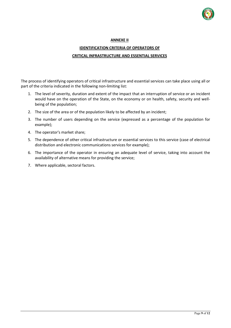

#### **ANNEXE II**

## **IDENTIFICATION CRITERIA OF OPERATORS OF**

### **CRITICAL INFRASTRUCTURE AND ESSENTIAL SERVICES**

<span id="page-9-0"></span>The process of identifying operators of critical infrastructure and essential services can take place using all or part of the criteria indicated in the following non-limiting list:

- 1. The level of severity, duration and extent of the impact that an interruption of service or an incident would have on the operation of the State, on the economy or on health, safety, security and wellbeing of the population;
- 2. The size of the area or of the population likely to be affected by an incident;
- 3. The number of users depending on the service (expressed as a percentage of the population for example);
- 4. The operator's market share;
- 5. The dependence of other critical infrastructure or essential services to this service (case of electrical distribution and electronic communications services for example);
- 6. The importance of the operator in ensuring an adequate level of service, taking into account the availability of alternative means for providing the service;
- 7. Where applicable, sectoral factors.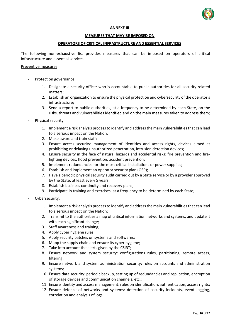

#### **ANNEXE III**

#### **MEASURES THAT MAY BE IMPOSED ON**

#### **OPERATORS OF CRITICAL INFRASTRUCTURE AND ESSENTIAL SERVICES**

<span id="page-10-0"></span>The following non-exhaustive list provides measures that can be imposed on operators of critical infrastructure and essential services.

#### Preventive measures

- Protection governance:
	- 1. Designate a security officer who is accountable to public authorities for all security related matters;
	- 2. Establish an organization to ensure the physical protection and cybersecurity of the operator's infrastructure;
	- 3. Send a report to public authorities, at a frequency to be determined by each State, on the risks, threats and vulnerabilities identified and on the main measures taken to address them;
- Physical security:
	- 1. Implement a risk analysis process to identify and address the main vulnerabilities that can lead to a serious impact on the Nation;
	- 2. Make aware and train staff;
	- 3. Ensure access security: management of identities and access rights, devices aimed at prohibiting or delaying unauthorized penetration, intrusion detection devices;
	- 4. Ensure security in the face of natural hazards and accidental risks: fire prevention and firefighting devices, flood prevention, accident prevention;
	- 5. Implement redundancies for the most critical installations or power supplies;
	- 6. Establish and implement an operator security plan (OSP);
	- 7. Have a periodic physical security audit carried out by a State service or by a provider approved by the State, at least every 5 years;
	- 8. Establish business continuity and recovery plans;
	- 9. Participate in training and exercises, at a frequency to be determined by each State;
- Cybersecurity:
	- 1. Implement a risk analysis process to identify and address the main vulnerabilities that can lead to a serious impact on the Nation;
	- 2. Transmit to the authorities a map of critical information networks and systems, and update it with each significant change;
	- 3. Staff awareness and training;
	- 4. Apply cyber hygiene rules;
	- 5. Apply security patches on systems and softwares;
	- 6. Mapp the supply chain and ensure its cyber hygiene;
	- 7. Take into account the alerts given by the CSIRT;
	- 8. Ensure network and system security: configurations rules, partitioning, remote access, filtering;
	- 9. Ensure network and system administration security: rules on accounts and administration systems;
	- 10. Ensure data security: periodic backup, setting up of redundancies and replication, encryption of storage devices and communication channels, etc.;
	- 11. Ensure identity and access management: rules on identification, authentication, access rights;
	- 12. Ensure defence of networks and systems: detection of security incidents, event logging, correlation and analysis of logs;